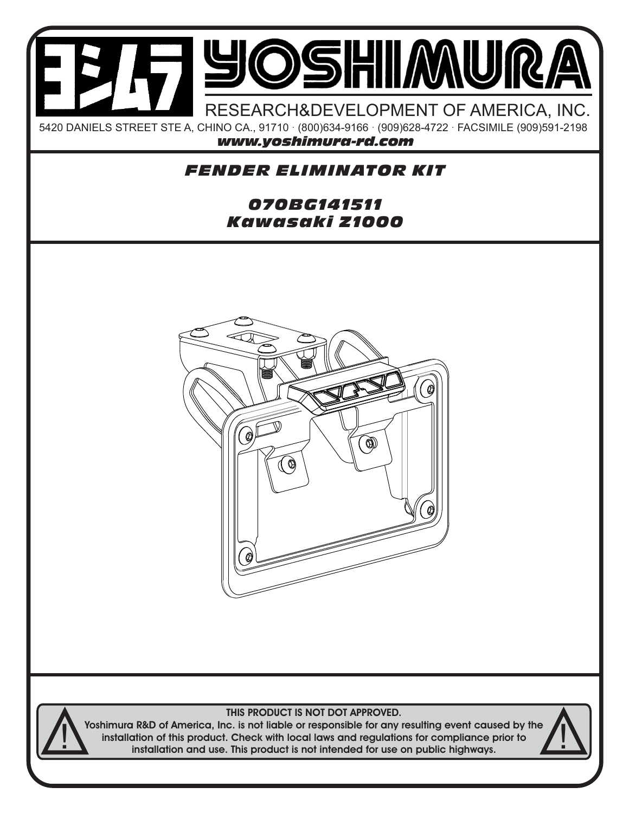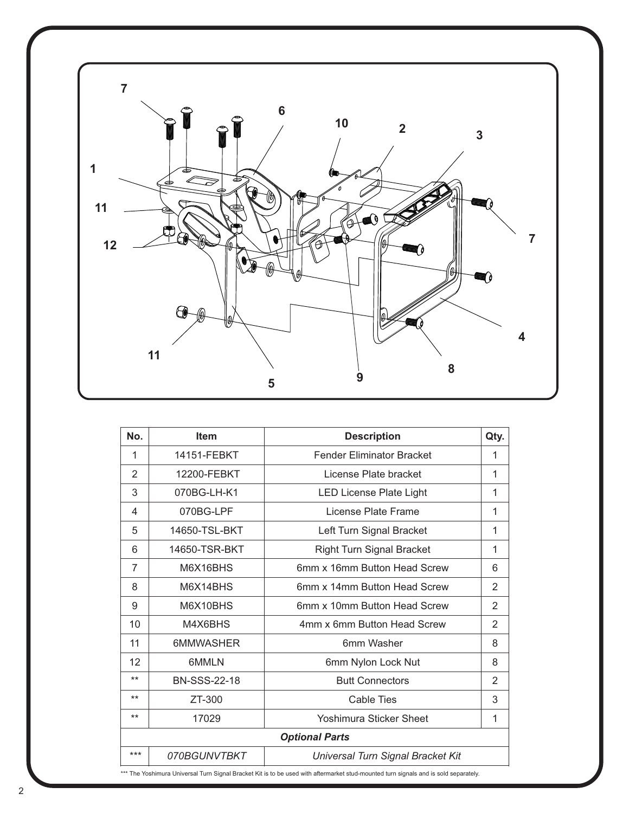

| No.                                                                                                                                  | <b>Item</b>         | <b>Description</b>                | Qty.           |
|--------------------------------------------------------------------------------------------------------------------------------------|---------------------|-----------------------------------|----------------|
| 1                                                                                                                                    | 14151-FEBKT         | <b>Fender Eliminator Bracket</b>  | 1              |
| 2                                                                                                                                    | 12200-FEBKT         | License Plate bracket             | 1              |
| 3                                                                                                                                    | 070BG-LH-K1         | <b>LED License Plate Light</b>    | 1              |
| 4                                                                                                                                    | 070BG-LPF           | License Plate Frame               | 1              |
| 5                                                                                                                                    | 14650-TSL-BKT       | Left Turn Signal Bracket          | 1              |
| 6                                                                                                                                    | 14650-TSR-BKT       | <b>Right Turn Signal Bracket</b>  | 1              |
| 7                                                                                                                                    | M6X16BHS            | 6mm x 16mm Button Head Screw      | 6              |
| 8                                                                                                                                    | M6X14BHS            | 6mm x 14mm Button Head Screw      | 2              |
| 9                                                                                                                                    | M6X10BHS            | 6mm x 10mm Button Head Screw      | 2              |
| 10                                                                                                                                   | M4X6BHS             | 4mm x 6mm Button Head Screw       | $\overline{2}$ |
| 11                                                                                                                                   | <b>6MMWASHER</b>    | 6mm Washer                        | 8              |
| 12                                                                                                                                   | 6MMLN               | 6mm Nylon Lock Nut                | 8              |
| $***$                                                                                                                                | <b>BN-SSS-22-18</b> | <b>Butt Connectors</b>            | 2              |
| $***$                                                                                                                                | ZT-300              | <b>Cable Ties</b>                 | 3              |
| $***$                                                                                                                                | 17029               | Yoshimura Sticker Sheet           | 1              |
| <b>Optional Parts</b>                                                                                                                |                     |                                   |                |
| ***                                                                                                                                  | 070BGUNVTBKT        | Universal Turn Signal Bracket Kit |                |
| *** The Yoshimura Universal Turn Signal Bracket Kit is to be used with aftermarket stud-mounted turn signals and is sold separately. |                     |                                   |                |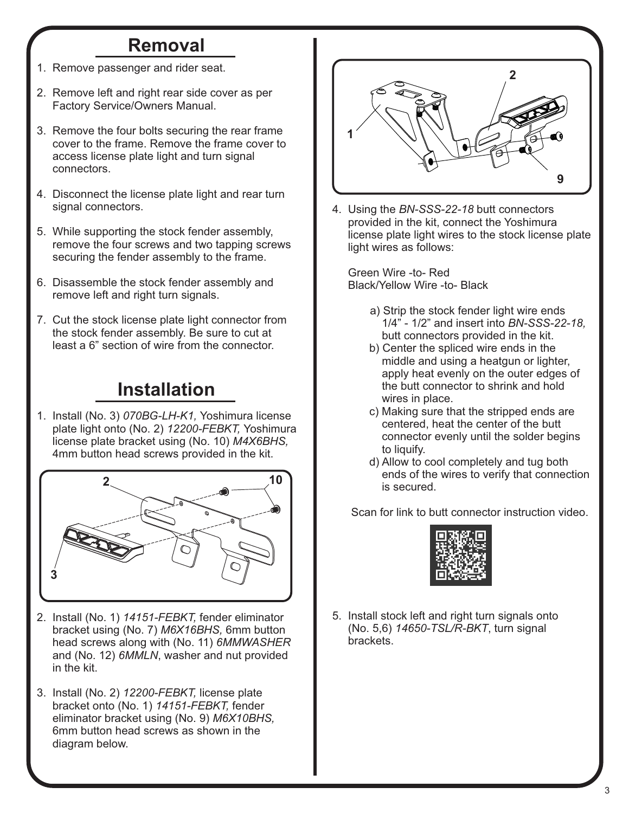## **Removal**

- 1. Remove passenger and rider seat.
- 2. Remove left and right rear side cover as per Factory Service/Owners Manual.
- 3. Remove the four bolts securing the rear frame cover to the frame. Remove the frame cover to access license plate light and turn signal connectors.
- 4. Disconnect the license plate light and rear turn signal connectors.
- 5. While supporting the stock fender assembly, remove the four screws and two tapping screws securing the fender assembly to the frame.
- 6. Disassemble the stock fender assembly and remove left and right turn signals.
- 7. Cut the stock license plate light connector from the stock fender assembly. Be sure to cut at least a 6" section of wire from the connector.

## **Installation**

1. Install (No. 3) *070BG-LH-K1,* Yoshimura license plate light onto (No. 2) *12200-FEBKT,* Yoshimura license plate bracket using (No. 10) *M4X6BHS,*  4mm button head screws provided in the kit.



- 2. Install (No. 1) *14151-FEBKT,* fender eliminator bracket using (No. 7) *M6X16BHS,* 6mm button head screws along with (No. 11) *6MMWASHER* and (No. 12) *6MMLN*, washer and nut provided in the kit.
- 3. Install (No. 2) *12200-FEBKT,* license plate bracket onto (No. 1) *14151-FEBKT,* fender eliminator bracket using (No. 9) *M6X10BHS,* 6mm button head screws as shown in the diagram below.



4. Using the *BN-SSS-22-18* butt connectors provided in the kit, connect the Yoshimura license plate light wires to the stock license plate light wires as follows:

 Green Wire -to- Red Black/Yellow Wire -to- Black

- a) Strip the stock fender light wire ends 1/4" - 1/2" and insert into *BN-SSS-22-18,* butt connectors provided in the kit.
- b) Center the spliced wire ends in the middle and using a heatgun or lighter, apply heat evenly on the outer edges of the butt connector to shrink and hold wires in place.
- c) Making sure that the stripped ends are centered, heat the center of the butt connector evenly until the solder begins to liquify.
- d) Allow to cool completely and tug both ends of the wires to verify that connection is secured.

Scan for link to butt connector instruction video.



5. Install stock left and right turn signals onto (No. 5,6) *14650-TSL/R-BKT*, turn signal brackets.